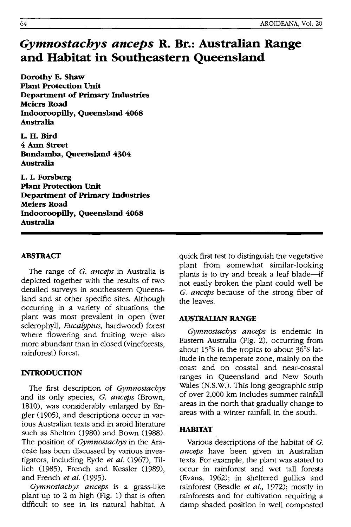# *Gymnostachys anceps* **R. Br.: Australian Range and Habitat in Southeastern Queensland**

**Dorothy E. Shaw Plant Protection Unit Department of Primary Industries Meiers Road Indooroopilly, Queensland 4068 Australia** 

**L. H. Bird**  4 **Ann Street Bundamba, Queensland 4304 Australia** 

**L. I. Forsberg Plant Protection Unit Department of Primary Industries Meiers Road Indooroopilly, Queensland 4068 Australia** 

## **ABSTRACf**

The range of G. *anceps* in Australia is depicted together with the results of two detailed surveys in southeastern Queensland and at other specific sites. Although occurring in a variety of situations, the plant was most prevalent in open (wet sclerophyll, *Eucalyptus,* hardwood) forest where flowering and fruiting were also more abundant than in closed (vineforests, rainforest) forest.

#### **INTRODUCflON**

The first description of *Gymnostacbys*  and its only species, G. *anceps* (Brown, 1810), was considerably enlarged by Engler (1905), and descriptions occur in various Australian texts and in aroid literature such as Shelton (1980) and Bown (1988). The position of *Gymnostacbys* in the Araceae has been discussed by various investigators, including Eyde *et at.* (1967), Tillich (1985), French and Kessler (1989), and French *et at.* (1995).

*Gymnostacbys anceps* is a grass-like plant up to 2 m high (Fig. 1) that is often difficult to see in its natural habitat. A

quick first test to distinguish the vegetative plant from somewhat similar-looking plants is to try and break a leaf blade-if not easily broken the plant could well be G. *anceps* because of the strong fiber of the leaves.

#### **AUSTRALIAN RANGE**

*Gymnostacbys anceps* is endemic in Eastern Australia (Fig. 2), occurring from about 15°S in the tropics to about 36°S latitude in the temperate zone, mainly on the coast and on coastal and near-coastal ranges in Queensland and New South Wales (N.S.W.). This long geographic strip of over 2,000 km includes summer rainfall areas in the north that gradually change to areas with a winter rainfall in the south.

# **HABITAT**

Various descriptions of the habitat of G. *anceps* have been given in Australian texts. For example, the plant was stated to occur in rainforest and wet tall forests (Evans, 1962); in sheltered gullies and rainforest (Beadle *et al.,* 1972); mostly in rainforests and for cultivation requiring a damp shaded position in well composted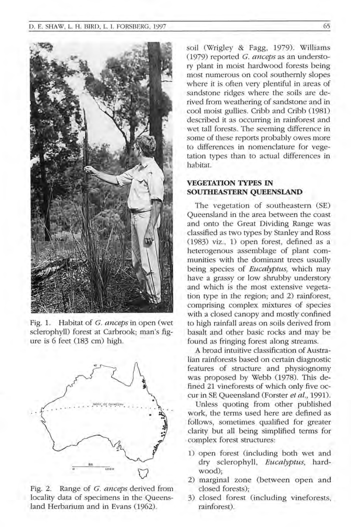

Fig. 1. Habitat of G. *anceps* in open (wet sclerophyll) forest at Carbrook; man's figure is 6 feet (183 cm) high.



Fig. 2. Range of G. *anceps* derived from locality data of specimens in the Queensland Herbarium and in Evans (1962).

soil (Wrigley & Fagg, 1979). Williams (1979) reported G. *anceps* as an understory plant in moist hardwood forests being most numerous on cool southernly slopes where it is often very plentiful in areas of sandstone ridges where the soils are derived from weathering of sandstone and in cool moist gullies. Cribb and Cribb (1981) described it as occurring in rainforest and wet tall forests. The seeming difference in some of these reports probably owes more to differences in nomenclature for vegetation types than to actual differences in habitat.

#### **VEGETATION TYPES IN SOUTHEASTERN QUEENSLAND**

The vegetation of southeastern (SE) Queensland in the area between the coast and onto the Great Dividing Range was classified as two types by Stanley and Ross (1983) viz., 1) open forest, defined as a heterogenous assemblage of plant communities with the dominant trees usually being species of *Eucalyptus,* which may have a grassy or low shrubby understory and which is the most extensive vegetation type in the region; and 2) rainforest, comprising complex mixtures of species with a closed canopy and mostly confined to high rainfall areas on soils derived from basalt and other basic rocks and may be found as fringing forest along streams.

A broad intuitive classification of Australian rainforests based on certain diagnostic features of structure and physiognomy was proposed by Webb (1978). This defined 21 vineforests of which only five occur in SE Queensland (Forster *et al., 1991).* 

Unless quoting from other published work, the terms used here are defined as follows, sometimes qualified for greater clarity but all being Simplified terms for complex forest structures:

- 1) open forest (including both wet and dry sclerophyll, *Eucalyptus*, hardwood);
- 2) marginal zone (between open and closed forests);
- 3) closed forest (including vineforests, rainforest).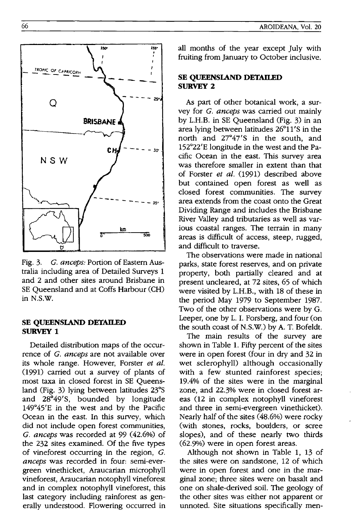150' **J55·**   $\frac{PIC \text{ OF } CAPRICORN}{PIC \text{ OF } CAPRICORN}$ **\_ ..,!!OPIC OF C.APR/CORN**   $\Omega$ **BRISBANE**  $20$ N S W  $- - - 35$ km  $\overline{0}$  500

Fig. 3. G. *anceps:* Portion of Eastern Australia including area of Detailed Surveys 1 and 2 and other sites around Brisbane in SE Queensland and at Coffs Harbour (CH) in N.S.W.

### **SE QUEENSLAND DETAILED SURVEY 1**

Detailed distribution maps of the occurrence of G. *anceps* are not available over its whole range. However, Forster *et al.*  (1991) carried out a survey of plants of most taxa in closed forest in SE Queensland (Fig. 3) lying between latitudes 23°S and 28°49'S, bounded by longitude 149°45'E in the west and by the Pacific Ocean in the east. In this survey, which did not include open forest communities, G. *anceps* was recorded at 99 (42.6%) of the 232 sites examined. Of the five types of vineforest occurring in the region, G. *anceps* was recorded in four: semi-evergreen vinethicket, Araucarian microphyll vineforest, Araucarian notophyll vineforest and in complex notophyll vineforest, this last category including rainforest as generally understood. Flowering occurred in all months of the year except July with fruiting from January to October inclusive.

# **SE QUEENSLAND DETAILED**  SURVEY 2

As part of other botanical work, a survey for G. *anceps* was carried out mainly by L.H.B. in SE Queensland (Fig. 3) in an area lying between latitudes 26°11'S in the north and 27°47'S in the south, and 152°22'E longitude in the west and the Pacific Ocean in the east. This survey area was therefore smaller in extent than that of Forster *et al.* (1991) described above but contained open forest as well as closed forest communities. The survey area extends from the coast onto the Great Dividing Range and includes the Brisbane River Valley and tributaries as well as various coastal ranges. The terrain in many areas is difficult of access, steep, rugged, and difficult to traverse.

The observations were made in national parks, state forest reserves, and on private property, both partially cleared and at present uncleared, at 72 sites, 65 of which were visited by L.H.B., with 18 of these in the period May 1979 to September 1987. Two of the other observations were by G. Leeper, one by L. I. Forsberg, and four (on the south coast of N.S.W.) by A. T. Bofeldt.

The main results of the survey are shown in Table 1. Fifty percent of the sites were in open forest (four in dry and 32 in wet sclerophyll) although occasionally with a few stunted rainforest species; 19.4% of the sites were in the marginal zone, and 22.3% were in closed forest areas (12 in complex notophyll vineforest and three in semi-evergreen vinethicket). Nearly half of the sites (48.6%) were rocky (with stones, rocks, boulders, or scree slopes), and of these nearly two thirds (62.9%) were in open forest areas.

Although not shown in Table 1, 13 of the sites were on sandstone, 12 of which were in open forest and one in the marginal zone; three sites were on basalt and one on shale-derived soil. The geology of the other sites was either not apparent or unnoted. Site situations specifically men-

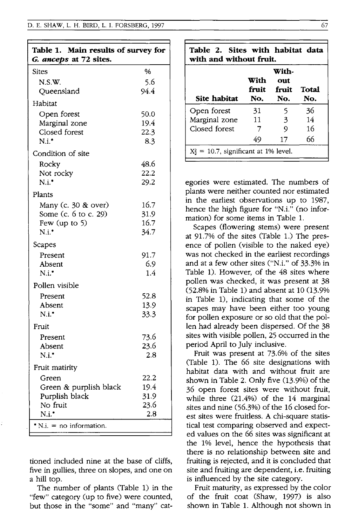| Table 1. Main results of survey for<br>G. anceps at 72 sites. |              |  |  |  |
|---------------------------------------------------------------|--------------|--|--|--|
| <b>Sites</b>                                                  | %            |  |  |  |
| N.S.W.                                                        | 5.6          |  |  |  |
| Queensland                                                    | 94.4         |  |  |  |
| Habitat                                                       |              |  |  |  |
| Open forest                                                   | 50.0         |  |  |  |
| Marginal zone                                                 | 19.4         |  |  |  |
| Closed forest                                                 | 22.3         |  |  |  |
| $N.i.*$                                                       | 8.3          |  |  |  |
| Condition of site                                             |              |  |  |  |
| Rocky                                                         | 48.6         |  |  |  |
| Not rocky                                                     | 22.2         |  |  |  |
| $N.i.*$                                                       | 29.2         |  |  |  |
| Plants                                                        |              |  |  |  |
| Many (c. 30 & over)                                           | 16.7         |  |  |  |
| Some (c. 6 to c. 29)                                          | 31.9         |  |  |  |
| Few (up to 5)<br>N.i.                                         | 16.7<br>34.7 |  |  |  |
|                                                               |              |  |  |  |
| Scapes                                                        |              |  |  |  |
| Present                                                       | 91.7         |  |  |  |
| Absent<br>$N.i.*$                                             | 6.9<br>1.4   |  |  |  |
|                                                               |              |  |  |  |
| Pollen visible                                                |              |  |  |  |
| Present                                                       | 52.8         |  |  |  |
| Absent<br>$N.i.*$                                             | 13.9<br>33.3 |  |  |  |
|                                                               |              |  |  |  |
| Fruit                                                         |              |  |  |  |
| Present                                                       | 73.6<br>23.6 |  |  |  |
| Absent<br>$N.i.*$                                             | 2.8          |  |  |  |
|                                                               |              |  |  |  |
| Fruit matirity                                                |              |  |  |  |
| Green                                                         | 22.2<br>19.4 |  |  |  |
| Green & purplish black<br>Purplish black                      | 31.9         |  |  |  |
| No fruit                                                      | 23.6         |  |  |  |
| N.i.                                                          | 2.8          |  |  |  |
| $N.i. = no information.$                                      |              |  |  |  |

tioned included nine at the base of cliffs, five in gullies, three on slopes, and one on a hill top.

The number of plants (Table 1) in the "few" category (up to five) were counted, but those in the "some" and "many" cat-

| with and without fruit. |                      |                              |              |  |
|-------------------------|----------------------|------------------------------|--------------|--|
| Site habitat            | With<br>fruit<br>No. | With-<br>out<br>fruit<br>No. | Total<br>No. |  |
| Open forest             | 31                   | 5.                           | 36           |  |
| Marginal zone           | 11                   | 3                            | 14           |  |
| Closed forest           |                      | 9                            | 16           |  |
|                         | 49                   | 17                           | 66           |  |

egories were estimated. The numbers of plants were neither counted nor estimated in the earliest observations up to 1987, hence the high figure for "N.i." (no information) for some items in Table 1.

Scapes (flowering stems) were present at 91.7% of the sites (Table 1.) The presence of pollen (visible to the naked eye) was not checked in the earliest recordings and at a few other sites ("N.i." of 33.3% in Table 1). However, of the 48 sites where pollen was checked, it was present at 38  $(52.8\%$  in Table 1) and absent at 10  $(13.9\%$ in Table 1), indicating that some of the scapes may have been either too young for pollen exposure or so old that the pollen had already been dispersed. Of the 38 sites with visible pollen, 25 occurred in the period April to July inclusive.

Fruit was present at 73.6% of the sites (Table 1). The 66 site designations with habitat data with and without fruit are shown in Table 2. Only five (13.9%) of the 36 open forest sites were without fruit, while three (21.4%) of the 14 marginal sites and nine (56.3%) of the 16 closed forest sites were fruitless. A chi-square statistical test comparing observed and expected values on the 66 sites was Significant at the 1% level, hence the hypothesis that there is no relationship between site and fruiting is rejected, and it is concluded that site and fruiting are dependent, i.e. fruiting is influenced by the site category.

Fruit maturity, as expressed by the color of the fruit coat (Shaw, 1997) is also shown in Table 1. Although not shown in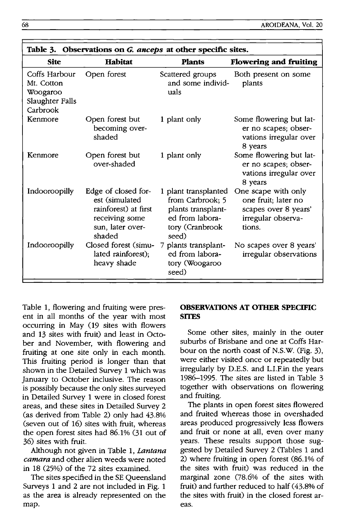| Table 3. Observations on G. anceps at other specific sites.            |                                                                                                               |                                                                                                               |                                                                                                    |  |  |  |
|------------------------------------------------------------------------|---------------------------------------------------------------------------------------------------------------|---------------------------------------------------------------------------------------------------------------|----------------------------------------------------------------------------------------------------|--|--|--|
| <b>Site</b>                                                            | Habitat                                                                                                       | <b>Plants</b>                                                                                                 | <b>Flowering and fruiting</b>                                                                      |  |  |  |
| Coffs Harbour<br>Mt. Cotton<br>Woogaroo<br>Slaughter Falls<br>Carbrook | Open forest                                                                                                   | Scattered groups<br>and some individ-<br>uals                                                                 | Both present on some<br>plants                                                                     |  |  |  |
| Kenmore                                                                | Open forest but<br>becoming over-<br>shaded                                                                   | 1 plant only                                                                                                  | Some flowering but lat-<br>er no scapes; obser-<br>vations irregular over<br>8 years               |  |  |  |
| Kenmore                                                                | Open forest but<br>over-shaded                                                                                | 1 plant only                                                                                                  | Some flowering but lat-<br>er no scapes; obser-<br>vations irregular over<br>8 years               |  |  |  |
| Indooroopilly                                                          | Edge of closed for-<br>est (simulated<br>rainforest) at first<br>receiving some<br>sun, later over-<br>shaded | 1 plant transplanted<br>from Carbrook; 5<br>plants transplant-<br>ed from labora-<br>tory (Cranbrook<br>seed) | One scape with only<br>one fruit; later no<br>scapes over 8 years'<br>irregular observa-<br>tions. |  |  |  |
| Indooroopilly                                                          | Closed forest (simu-<br>lated rainforest);<br>heavy shade                                                     | 7 plants transplant-<br>ed from labora-<br>tory (Woogaroo<br>seed)                                            | No scapes over 8 years'<br>irregular observations                                                  |  |  |  |

Table 1, flowering and fruiting were present in all months of the year with most occurring in May (19 sites with flowers and 13 sites with fruit) and least in October and November, with flowering and fruiting at one site only in each month. This fruiting period is longer than that shown in the Detailed Survey 1 which was January to October inclusive. The reason is possibly because the only sites surveyed in Detailed Survey 1 were in closed forest areas, and these sites in Detailed Survey 2 (as derived from Table 2) only had 43.8% (seven out of 16) sites with fruit, whereas the open forest sites had 86.1% (31 out of 36) sites with fruit.

Although not given in Table 1, *Lantana camara* and other alien weeds were noted in 18 (25%) of the 72 sites examined.

The sites specified in the SE Queensland Surveys 1 and 2 are not included in Fig. 1 as the area is already represented on the map.

## **OBSERVATIONS AT OTHER SPECIFIC SITES**

Some other sites, mainly in the outer suburbs of Brisbane and one at Coffs Harbour on the north coast of N.S.W. (Fig. 3), were either visited once or repeatedly but irregularly by D.E.S. and L.I.F.in the years 1986-1995. The sites are listed in Table 3 together with observations on flowering and fruiting.

The plants in open forest sites flowered and fruited whereas those in overshaded areas produced progressively less flowers and fruit or none at all, even over many years. These results support those suggested by Detailed Survey 2 (Tables 1 and 2) where fruiting in open forest (86.1% of the sites with fruit) was reduced in the marginal zone (78.6% of the sites with fruit) and further reduced to half (43.8% of the sites with fruit) in the closed forest areas.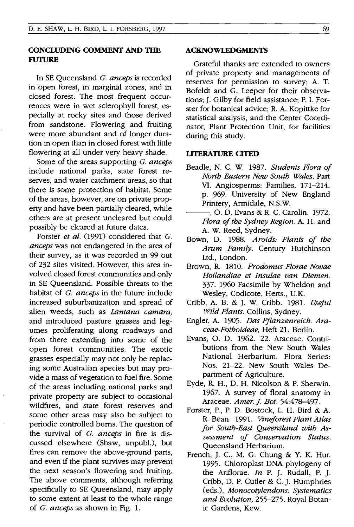# **CONCLUDING COMMENT AND TIlE FUTURE**

In SE Queensland *C. anceps* is recorded in open forest, in marginal zones, and in closed forest. The most frequent occurrences were in wet sclerophyll forest, especially at rocky sites and those derived from sandstone. Flowering and fruiting were more abundant and of longer duration in open than in closed forest with little flowering at all under very heavy shade.

Some of the areas supporting *C. anceps*  include national parks, state forest reserves, and water catchment areas, so that there is some protection of habitat. Some of the areas, however, are on private property and have been partially cleared, while others are at present uncleared but could possibly be cleared at future dates.

Forster *et al.* (1991) considered that *C. anceps* was not endangered in the area of their survey, as it was recorded in 99 out of 232 sites visited. However, this area involved closed forest communities and only in SE Queensland. Possible threats to the habitat of *C. anceps* in the future include increased suburbanization and spread of alien weeds, such as *Lantana camara,*  and introduced pasture grasses and legumes proliferating along roadways and from there extending into some of the open forest communities. The exotic grasses especially may not only be replacing some Australian species but may provide a mass of vegetation to fuel fire. Some of the areas including national parks and private property are subject to occasional wildfires, and state forest reserves and some other areas may also be subject to periodic controlled burns. The question of the survival of *C. anceps* in fire is discussed elsewhere (Shaw, unpub!.), but fires can remove the above-ground parts, and even if the plant survives may prevent the next season's flowering and fruiting. The above comments, although referring specifically to SE Queensland, may apply to some extent at least to the whole range of *C. anceps* as shown in Fig. 1.

#### **ACKNOWLEDGMENTS**

Grateful thanks are extended to owners of private property and managements of reserves for permission to survey; A. T. Bofeldt and G. Leeper for their observations; J. Gilby for field assistance; P. I. Forster for botanical advice; R. A. Kopittke for statistical analysis, and the Center Coordinator, Plant Protection Unit, for facilities during this study.

#### **LITERATURE CITED**

- Beadle, N. C. W. 1987. *Students Flora of North Eastern New South Wales.* Part VI. Angiosperms: Families, 171-214. p. 969. University of New England Printery, Armidale, N.S.W.
- ---, O. D. Evans & R. C. Carolin. 1972. *Flora of the Sydney Region.* A. H. and A. W. Reed, Sydney.
- Bown, D. 1988. *Aroids: Plants of the Arum Family.* Century Hutchinson Ltd., London.
- Brown, R. 1810. *Prodomus Florae Novae Hollandiae et Insulae van Diemen.*  337. 1960 Facsimile by Wheldon and Wesley, Codicote, Herts., U.K.
- Cribb, A. B. & J. W. Cribb. 1981. *Useful Wild Plants.* Collins, Sydney.
- Engler, A. 1905. *Das Pjlanzenreich. Araceae-Potboideae,* Heft 21. Berlin.
- Evans, O. D. 1962. 22. Araceae. Contributions from the New South Wales National Herbarium. Flora Series: Nos. 21-22. New South Wales Department of Agriculture.
- Eyde, R. H., D. H. Nicolson & P. Sherwin. 1967. A survey of floral anatomy in Araceae. *Amer.* j. *Bot. 54:478-497.*
- Forster, P., P. D. Bostock, L. H. Bird & A. R. Bean. 1991. *Vineforest Plant Atlas for Soutb-East Queensland with Assessment of Conservation Status.*  Queensland Herbarium.
- French, J. c., M. G. Chung & Y. K. Hur. 1995. Chloroplast DNA phylogeny of the Ariflorae. *In* P. J. Rudall, P. J. Cribb, D. P. Cutler & c. J. Humphries (eds.), *Monocotyiendons: Systematics and Evolution,* 255-275. Royal Botanic Gardens, Kew.